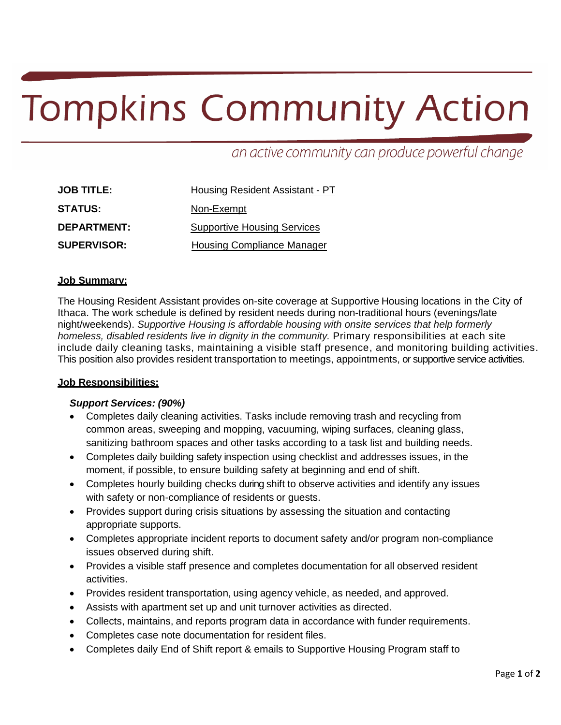# **Tompkins Community Action**

an active community can produce powerful change

| <b>JOB TITLE:</b>  | <b>Housing Resident Assistant - PT</b> |  |
|--------------------|----------------------------------------|--|
| <b>STATUS:</b>     | Non-Exempt                             |  |
| <b>DEPARTMENT:</b> | <b>Supportive Housing Services</b>     |  |
| <b>SUPERVISOR:</b> | <b>Housing Compliance Manager</b>      |  |

#### **Job Summary:**

The Housing Resident Assistant provides on-site coverage at Supportive Housing locations in the City of Ithaca. The work schedule is defined by resident needs during non-traditional hours (evenings/late night/weekends). *Supportive Housing is affordable housing with onsite services that help formerly homeless, disabled residents live in dignity in the community.* Primary responsibilities at each site include daily cleaning tasks, maintaining a visible staff presence, and monitoring building activities. This position also provides resident transportation to meetings, appointments, or supportive service activities.

### **Job Responsibilities:**

### *Support Services: (90%)*

- Completes daily cleaning activities. Tasks include removing trash and recycling from common areas, sweeping and mopping, vacuuming, wiping surfaces, cleaning glass, sanitizing bathroom spaces and other tasks according to a task list and building needs.
- Completes daily building safety inspection using checklist and addresses issues, in the moment, if possible, to ensure building safety at beginning and end of shift.
- Completes hourly building checks during shift to observe activities and identify any issues with safety or non-compliance of residents or guests.
- Provides support during crisis situations by assessing the situation and contacting appropriate supports.
- Completes appropriate incident reports to document safety and/or program non-compliance issues observed during shift.
- Provides a visible staff presence and completes documentation for all observed resident activities.
- Provides resident transportation, using agency vehicle, as needed, and approved.
- Assists with apartment set up and unit turnover activities as directed.
- Collects, maintains, and reports program data in accordance with funder requirements.
- Completes case note documentation for resident files.
- Completes daily End of Shift report & emails to Supportive Housing Program staff to